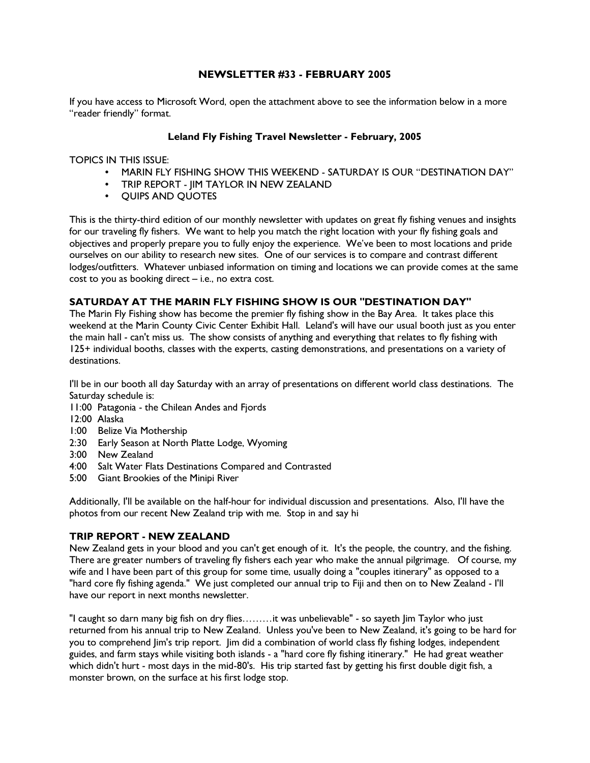# NEWSLETTER #33 - FEBRUARY 2005

If you have access to Microsoft Word, open the attachment above to see the information below in a more "reader friendly" format.

## Leland Fly Fishing Travel Newsletter - February, 2005

TOPICS IN THIS ISSUE:

- MARIN FLY FISHING SHOW THIS WEEKEND SATURDAY IS OUR "DESTINATION DAY"
- TRIP REPORT JIM TAYLOR IN NEW ZEALAND
- QUIPS AND QUOTES

This is the thirty-third edition of our monthly newsletter with updates on great fly fishing venues and insights for our traveling fly fishers. We want to help you match the right location with your fly fishing goals and objectives and properly prepare you to fully enjoy the experience. We've been to most locations and pride ourselves on our ability to research new sites. One of our services is to compare and contrast different lodges/outfitters. Whatever unbiased information on timing and locations we can provide comes at the same cost to you as booking direct – i.e., no extra cost.

# SATURDAY AT THE MARIN FLY FISHING SHOW IS OUR "DESTINATION DAY"

The Marin Fly Fishing show has become the premier fly fishing show in the Bay Area. It takes place this weekend at the Marin County Civic Center Exhibit Hall. Leland's will have our usual booth just as you enter the main hall - can't miss us. The show consists of anything and everything that relates to fly fishing with 125+ individual booths, classes with the experts, casting demonstrations, and presentations on a variety of destinations.

I'll be in our booth all day Saturday with an array of presentations on different world class destinations. The Saturday schedule is:

- 11:00 Patagonia the Chilean Andes and Fjords
- 12:00 Alaska
- 1:00 Belize Via Mothership
- 2:30 Early Season at North Platte Lodge, Wyoming
- 3:00 New Zealand
- 4:00 Salt Water Flats Destinations Compared and Contrasted
- 5:00 Giant Brookies of the Minipi River

Additionally, I'll be available on the half-hour for individual discussion and presentations. Also, I'll have the photos from our recent New Zealand trip with me. Stop in and say hi

## TRIP REPORT - NEW ZEALAND

New Zealand gets in your blood and you can't get enough of it. It's the people, the country, and the fishing. There are greater numbers of traveling fly fishers each year who make the annual pilgrimage. Of course, my wife and I have been part of this group for some time, usually doing a "couples itinerary" as opposed to a "hard core fly fishing agenda." We just completed our annual trip to Fiji and then on to New Zealand - I'll have our report in next months newsletter.

"I caught so darn many big fish on dry flies………it was unbelievable" - so sayeth Jim Taylor who just returned from his annual trip to New Zealand. Unless you've been to New Zealand, it's going to be hard for you to comprehend Jim's trip report. Jim did a combination of world class fly fishing lodges, independent guides, and farm stays while visiting both islands - a "hard core fly fishing itinerary." He had great weather which didn't hurt - most days in the mid-80's. His trip started fast by getting his first double digit fish, a monster brown, on the surface at his first lodge stop.